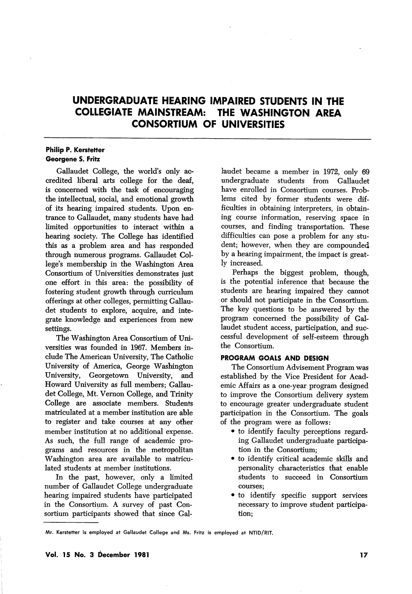# UNDERGRADUATE HEARING IMPAIRED STUDENTS IN THE COLLEGIATE MAINSTREAM: THE WASHINGTON AREA CONSORTIUM OF UNIVERSITIES

## Philip P. Kerstetter Georgene S. Fritz

Gallaudet College, the world's only ac credited liberal arts college for the deaf, is concerned with the task of encouraging the intellectual, social, and emotional growth of its hearing impaired students. Upon en trance to Gallaudet, many students have had limited opportunities to interact within a hearing society. The College has identified this as a problem area and has responded through numerous programs. Gallaudet Col lege's membership in the Washington Area Consortium of Universities demonstrates just one effort in this area: the possibility of fostering student growth through curriculum offerings at other colleges, permitting Gallau det students to explore, acquire, and inte grate knowledge and experiences from new settings.

The Washington Area Consortium of Uni versities was founded in 1967. Members in clude The American University, The Catholic University of America, George Washington University, Georgetown University, and Howard University as full members; Gallau det College, Mt. Vernon College, and Trinity College are associate members. Students matriculated at a member institution are able to register and take courses at any other member institution at no additional expense. As such, the full range of academic pro grams and resources in the metropolitan Washington area are available to matricu lated students at member institutions.

In the past, however, only a limited number of Gallaudet College undergraduate hearing impaired students have participated in the Consortium. A survey of past Con sortium participants showed that since Gal

laudet became a member in 1972, only 69 undergraduate students from Gallaudet have enrolled in Consortium courses. Prob lems cited by former students were dif ficulties in obtaining interpreters, in obtain ing course information, reserving space in courses, and finding transportation. These difficulties can pose a problem for any stu dent; however, when they are compounded by a hearing impairment, the impact is great ly increased.

Perhaps the biggest problem, though, is the potential inference that because the students are hearing impaired they cannot or should not participate in the Consortium. The key questions to be answered by the program concerned the possibility of Gal laudet student access, participation, and suc cessful development of self-esteem through the Consortium.

### PROGRAM GOALS AND DESIGN

The Consortium Advisement Program was established by the Vice President for Acad emic Affairs as a one-year program designed to improve the Consortium delivery system to encourage greater undergraduate student participation in the Consortium. The goals of the program were as follows:

- to identify faculty perceptions regard ing Gallaudet undergraduate participa tion in the Consortium;
- to identify critical academic skills and personality characteristics that enable students to succeed in Consortium courses;
- to identify specific support services necessary to improve student participa tion;

Mr. Kerstetter is employed at Gallaudet College and Ms. Fritz is employed at NTID/RIT.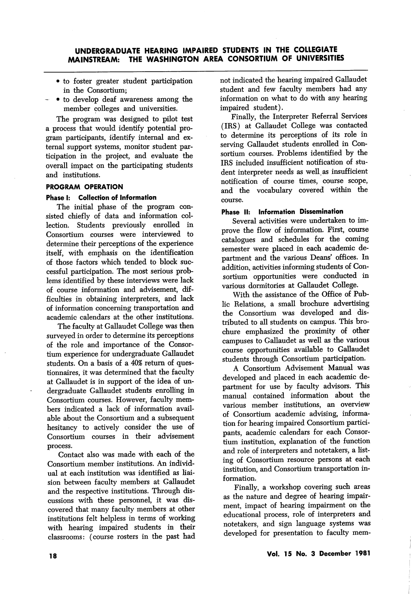## UNDERGRADUATE HEARING IMPAIRED STUDENTS IN THE COLLEGIATE MAINSTREAM: THE WASHINGTON AREA CONSORTIUM OF UNIVERSITIES

- to foster greater student participation in the Consortium;
- • to develop deaf awareness among the member colleges and universities.

The program was designed to pilot test a process that would identify potential pro gram participants, identify internal and ex ternal support systems, monitor student participation in the project, and evaluate the overall impact on the participating students and institutions.

## PROGRAM OPERATION

### Phase I: Collection of Information

The initial phase of the program con sisted chiefly of data and information col lection. Students previously enrolled in Consortium courses were interviewed to determine their perceptions of the experience itself, with emphasis on the identification of those factors which tended to block suc cessful participation. The most serious prob lems identified by these interviews were lack of course information and advisement, dif ficulties in obtaining interpreters, and lack of information concerning transportation and academic calendars at the other institutions.

The faculty at Gallaudet College was then surveyed in order to determine its perceptions of the role and importance of the Consor tium experience for undergraduate Gallaudet students. On a basis of a 40% return of ques tionnaires, it was determined that the faculty at Gallaudet is in support of the idea of un dergraduate Gallaudet students enrolling in Consortium courses. However, faculty mem bers indicated a lack of information avail able about the Consortium and a subsequent hesitancy to actively consider the use of Consortium courses in their advisement process.

Contact also was made with each of the Consortium member institutions. An individ ual at each institution was identified as liaision between faculty members at Gallaudet and the respective institutions. Through dis cussions with these personnel, it was dis covered that many faculty members at other institutions felt helpless in terms of working with hearing impaired students in their classrooms: (course rosters in the past had not indicated the hearing impaired Gallaudet student and few faculty members had any information on what to do with any hearing impaired student).

Finally, the Interpreter Referral Services (IRS) at Gallaudet College was contacted to determine its perceptions of its role in serving Gallaudet students enrolled in Con sortium courses. Problems identified by the IRS included insufficient notification of stu dent interpreter needs as well as insufficient notification of course times, course scope, and the vocabulary covered within the course.

#### Phase II: Information Dissemination

Several activities were undertaken to im prove the flow of information. First, course catalogues and schedules for the coming semester were placed in each academic de partment and the various Deans' offices. In addition, activities informing students of Con sortium opportunities were conducted in various dormitories at Gallaudet College.

With the assistance of the Office of Pub lic Relations, a small brochure advertising the Consortium was developed and dis tributed to all students on campus. This bro chure emphasized the proximity of other campuses to Gallaudet as well as the various course opportunities available to Gallaudet students through Consortium participation.

A Consortium Advisement Manual was developed and placed in each academic de partment for use by faculty advisors. This manual contained information about the various member institutions, an overview of Consortium academic advising, informa tion for hearing impaired Consortium partici pants, academic calendars for each Consor tium institution, explanation of the function and role of interpreters and notetakers, a list ing of Consortium resource persons at each institution, and Consortium transportation in formation.

Finally, a workshop covering such areas as the nature and degree of hearing impair ment, impact of hearing impairment on the educational process, role of interpreters and notetakers, and sign language systems was developed for presentation to faculty mem-